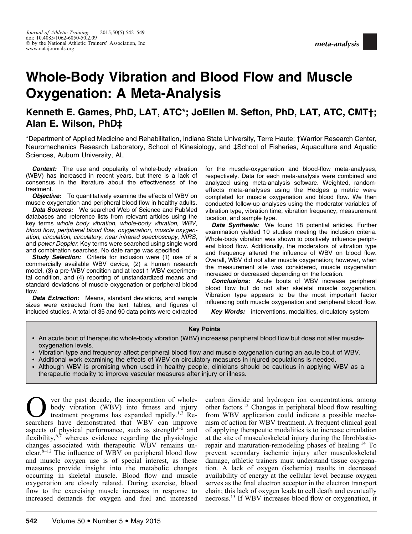# Whole-Body Vibration and Blood Flow and Muscle Oxygenation: A Meta-Analysis

# Kenneth E. Games, PhD, LAT, ATC\*; JoEllen M. Sefton, PhD, LAT, ATC, CMT†; Alan E. Wilson, PhD‡

\*Department of Applied Medicine and Rehabilitation, Indiana State University, Terre Haute; †Warrior Research Center, Neuromechanics Research Laboratory, School of Kinesiology, and ‡School of Fisheries, Aquaculture and Aquatic Sciences, Auburn University, AL

**Context:** The use and popularity of whole-body vibration (WBV) has increased in recent years, but there is a lack of consensus in the literature about the effectiveness of the treatment.

**Objective:** To quantitatively examine the effects of WBV on muscle oxygenation and peripheral blood flow in healthy adults.

**Data Sources:** We searched Web of Science and PubMed databases and reference lists from relevant articles using the key terms whole body vibration, whole-body vibration, WBV, blood flow, peripheral blood flow, oxygenation, muscle oxygenation, circulation, circulatory, near infrared spectroscopy, NIRS, and power Doppler. Key terms were searched using single word and combination searches. No date range was specified.

Study Selection: Criteria for inclusion were (1) use of a commercially available WBV device, (2) a human research model, (3) a pre-WBV condition and at least 1 WBV experimental condition, and (4) reporting of unstandardized means and standard deviations of muscle oxygenation or peripheral blood flow.

Data Extraction: Means, standard deviations, and sample sizes were extracted from the text, tables, and figures of included studies. A total of 35 and 90 data points were extracted for the muscle-oxygenation and blood-flow meta-analyses, respectively. Data for each meta-analysis were combined and analyzed using meta-analysis software. Weighted, randomeffects meta-analyses using the Hedges  $g$  metric were completed for muscle oxygenation and blood flow. We then conducted follow-up analyses using the moderator variables of vibration type, vibration time, vibration frequency, measurement location, and sample type.

Data Synthesis: We found 18 potential articles. Further examination yielded 10 studies meeting the inclusion criteria. Whole-body vibration was shown to positively influence peripheral blood flow. Additionally, the moderators of vibration type and frequency altered the influence of WBV on blood flow. Overall, WBV did not alter muscle oxygenation; however, when the measurement site was considered, muscle oxygenation increased or decreased depending on the location.

Conclusions: Acute bouts of WBV increase peripheral blood flow but do not alter skeletal muscle oxygenation. Vibration type appears to be the most important factor influencing both muscle oxygenation and peripheral blood flow.

Key Words: interventions, modalities, circulatory system

#### Key Points

- An acute bout of therapeutic whole-body vibration (WBV) increases peripheral blood flow but does not alter muscleoxygenation levels.
- Vibration type and frequency affect peripheral blood flow and muscle oxygenation during an acute bout of WBV.
- Additional work examining the effects of WBV on circulatory measures in injured populations is needed.
- Although WBV is promising when used in healthy people, clinicians should be cautious in applying WBV as a therapeutic modality to improve vascular measures after injury or illness.

Over the past decade, the incorporation of whole-<br>body vibration (WBV) into fitness and injury<br>treatment programs has expanded rapidly.<sup>1,2</sup> Re-<br>searchers have demonstrated that WBV can improve body vibration (WBV) into fitness and injury treatment programs has expanded rapidly.<sup>1,2</sup> Researchers have demonstrated that WBV can improve aspects of physical performance, such as strength $3\overline{3}$  and flexibility, $6\frac{7}{7}$  whereas evidence regarding the physiologic changes associated with therapeutic WBV remains unclear. $8-12$  The influence of WBV on peripheral blood flow and muscle oxygen use is of special interest, as these measures provide insight into the metabolic changes occurring in skeletal muscle. Blood flow and muscle oxygenation are closely related. During exercise, blood flow to the exercising muscle increases in response to increased demands for oxygen and fuel and increased

carbon dioxide and hydrogen ion concentrations, among other factors.13 Changes in peripheral blood flow resulting from WBV application could indicate a possible mechanism of action for WBV treatment. A frequent clinical goal of applying therapeutic modalities is to increase circulation at the site of musculoskeletal injury during the fibroblasticrepair and maturation-remodeling phases of healing.14 To prevent secondary ischemic injury after musculoskeletal damage, athletic trainers must understand tissue oxygenation. A lack of oxygen (ischemia) results in decreased availability of energy at the cellular level because oxygen serves as the final electron acceptor in the electron transport chain; this lack of oxygen leads to cell death and eventually necrosis.<sup>15</sup> If WBV increases blood flow or oxygenation, it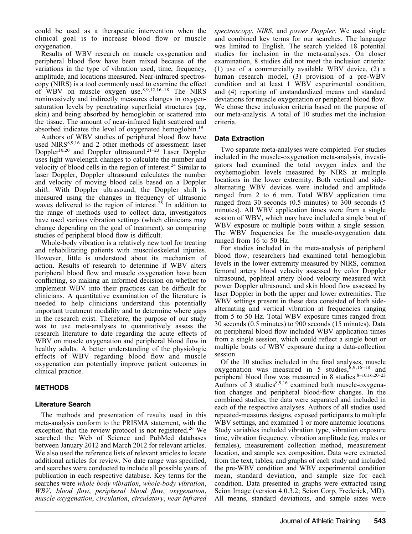could be used as a therapeutic intervention when the clinical goal is to increase blood flow or muscle oxygenation.

Results of WBV research on muscle oxygenation and peripheral blood flow have been mixed because of the variations in the type of vibration used, time, frequency, amplitude, and locations measured. Near-infrared spectroscopy (NIRS) is a tool commonly used to examine the effect of WBV on muscle oxygen use.8,9,12,16–18 The NIRS noninvasively and indirectly measures changes in oxygensaturation levels by penetrating superficial structures (eg, skin) and being absorbed by hemoglobin or scattered into the tissue. The amount of near-infrared light scattered and absorbed indicates the level of oxygenated hemoglobin.<sup>19</sup>

Authors of WBV studies of peripheral blood flow have used NIRS<sup>8,9,16</sup> and 2 other methods of assessment: laser Doppler<sup>10,20</sup> and Doppler ultrasound.<sup>21–23</sup> Laser Doppler uses light wavelength changes to calculate the number and velocity of blood cells in the region of interest.<sup>24</sup> Similar to laser Doppler, Doppler ultrasound calculates the number and velocity of moving blood cells based on a Doppler shift. With Doppler ultrasound, the Doppler shift is measured using the changes in frequency of ultrasonic waves delivered to the region of interest.<sup>25</sup> In addition to the range of methods used to collect data, investigators have used various vibration settings (which clinicians may change depending on the goal of treatment), so comparing studies of peripheral blood flow is difficult.

Whole-body vibration is a relatively new tool for treating and rehabilitating patients with musculoskeletal injuries. However, little is understood about its mechanism of action. Results of research to determine if WBV alters peripheral blood flow and muscle oxygenation have been conflicting, so making an informed decision on whether to implement WBV into their practices can be difficult for clinicians. A quantitative examination of the literature is needed to help clinicians understand this potentially important treatment modality and to determine where gaps in the research exist. Therefore, the purpose of our study was to use meta-analyses to quantitatively assess the research literature to date regarding the acute effects of WBV on muscle oxygenation and peripheral blood flow in healthy adults. A better understanding of the physiologic effects of WBV regarding blood flow and muscle oxygenation can potentially improve patient outcomes in clinical practice.

# METHODS

## Literature Search

The methods and presentation of results used in this meta-analysis conform to the PRISMA statement, with the exception that the review protocol is not registered.<sup>26</sup> We searched the Web of Science and PubMed databases between January 2012 and March 2012 for relevant articles. We also used the reference lists of relevant articles to locate additional articles for review. No date range was specified, and searches were conducted to include all possible years of publication in each respective database. Key terms for the searches were whole body vibration, whole-body vibration, WBV, blood flow, peripheral blood flow, oxygenation, muscle oxygenation, circulation, circulatory, near infrared

spectroscopy, NIRS, and power Doppler. We used single and combined key terms for our searches. The language was limited to English. The search yielded 18 potential studies for inclusion in the meta-analyses. On closer examination, 8 studies did not meet the inclusion criteria: (1) use of a commercially available WBV device, (2) a human research model, (3) provision of a pre-WBV condition and at least 1 WBV experimental condition, and (4) reporting of unstandardized means and standard deviations for muscle oxygenation or peripheral blood flow. We chose these inclusion criteria based on the purpose of our meta-analysis. A total of 10 studies met the inclusion criteria.

# Data Extraction

Two separate meta-analyses were completed. For studies included in the muscle-oxygenation meta-analysis, investigators had examined the total oxygen index and the oxyhemoglobin levels measured by NIRS at multiple locations in the lower extremity. Both vertical and sidealternating WBV devices were included and amplitude ranged from 2 to 6 mm. Total WBV application time ranged from 30 seconds (0.5 minutes) to 300 seconds (5 minutes). All WBV application times were from a single session of WBV, which may have included a single bout of WBV exposure or multiple bouts within a single session. The WBV frequencies for the muscle-oxygenation data ranged from 16 to 50 Hz.

For studies included in the meta-analysis of peripheral blood flow, researchers had examined total hemoglobin levels in the lower extremity measured by NIRS, common femoral artery blood velocity assessed by color Doppler ultrasound, popliteal artery blood velocity measured with power Doppler ultrasound, and skin blood flow assessed by laser Doppler in both the upper and lower extremities. The WBV settings present in these data consisted of both sidealternating and vertical vibration at frequencies ranging from 5 to 50 Hz. Total WBV exposure times ranged from 30 seconds (0.5 minutes) to 900 seconds (15 minutes). Data on peripheral blood flow included WBV application times from a single session, which could reflect a single bout or multiple bouts of WBV exposure during a data-collection session.

Of the 10 studies included in the final analyses, muscle oxygenation was measured in 5 studies, $8,9,16-18$  and peripheral blood flow was measured in 8 studies.<sup>8-10,16,20-23</sup> Authors of 3 studies $8,9,16$  examined both muscle-oxygenation changes and peripheral blood-flow changes. In the combined studies, the data were separated and included in each of the respective analyses. Authors of all studies used repeated-measures designs, exposed participants to multiple WBV settings, and examined 1 or more anatomic locations. Study variables included vibration type, vibration exposure time, vibration frequency, vibration amplitude (eg, males or females), measurement collection method, measurement location, and sample sex composition. Data were extracted from the text, tables, and graphs of each study and included the pre-WBV condition and WBV experimental condition mean, standard deviation, and sample size for each condition. Data presented in graphs were extracted using Scion Image (version 4.0.3.2; Scion Corp, Frederick, MD). All means, standard deviations, and sample sizes were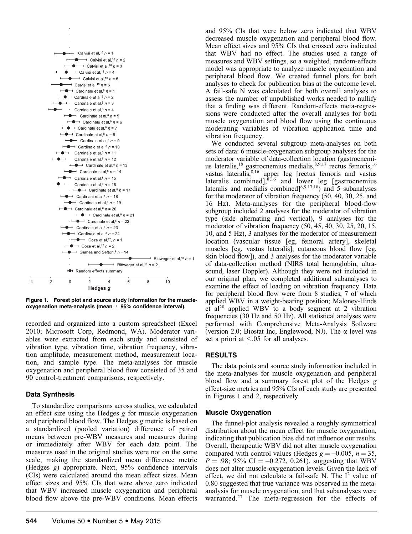

Figure 1. Forest plot and source study information for the muscleoxygenation meta-analysis (mean  $\pm$  95% confidence interval).

recorded and organized into a custom spreadsheet (Excel 2010; Microsoft Corp, Redmond, WA). Moderator variables were extracted from each study and consisted of vibration type, vibration time, vibration frequency, vibration amplitude, measurement method, measurement location, and sample type. The meta-analyses for muscle oxygenation and peripheral blood flow consisted of 35 and 90 control-treatment comparisons, respectively.

## Data Synthesis

To standardize comparisons across studies, we calculated an effect size using the Hedges g for muscle oxygenation and peripheral blood flow. The Hedges g metric is based on a standardized (pooled variation) difference of paired means between pre-WBV measures and measures during or immediately after WBV for each data point. The measures used in the original studies were not on the same scale, making the standardized mean difference metric (Hedges g) appropriate. Next, 95% confidence intervals (CIs) were calculated around the mean effect sizes. Mean effect sizes and 95% CIs that were above zero indicated that WBV increased muscle oxygenation and peripheral blood flow above the pre-WBV conditions. Mean effects and 95% CIs that were below zero indicated that WBV decreased muscle oxygenation and peripheral blood flow. Mean effect sizes and 95% CIs that crossed zero indicated that WBV had no effect. The studies used a range of measures and WBV settings, so a weighted, random-effects model was appropriate to analyze muscle oxygenation and peripheral blood flow. We created funnel plots for both analyses to check for publication bias at the outcome level. A fail-safe N was calculated for both overall analyses to assess the number of unpublished works needed to nullify that a finding was different. Random-effects meta-regressions were conducted after the overall analyses for both muscle oxygenation and blood flow using the continuous moderating variables of vibration application time and vibration frequency.

We conducted several subgroup meta-analyses on both sets of data: 6 muscle-oxygenation subgroup analyses for the moderator variable of data-collection location (gastrocnemius lateralis, $^{18}$  gastrocnemius medialis, $^{8,9,17}$  rectus femoris, $^{16}$ vastus lateralis,<sup>8,16</sup> upper leg [rectus femoris and vastus lateralis combined], ${}^{8,16}$  and lower leg [gastrocnemius] lateralis and medialis combined $\binom{8,9,17,18}{5}$  and 5 subanalyses for the moderator of vibration frequency (50, 40, 30, 25, and 16 Hz). Meta-analyses for the peripheral blood-flow subgroup included 2 analyses for the moderator of vibration type (side alternating and vertical), 9 analyses for the moderator of vibration frequency (50, 45, 40, 30, 25, 20, 15, 10, and 5 Hz), 3 analyses for the moderator of measurement location (vascular tissue [eg, femoral artery], skeletal muscles [eg, vastus lateralis], cutaneous blood flow [eg, skin blood flow]), and 3 analyses for the moderator variable of data-collection method (NIRS total hemoglobin, ultrasound, laser Doppler). Although they were not included in our original plan, we completed additional subanalyses to examine the effect of loading on vibration frequency. Data for peripheral blood flow were from 8 studies, 7 of which applied WBV in a weight-bearing position; Maloney-Hinds et al20 applied WBV to a body segment at 2 vibration frequencies (30 Hz and 50 Hz). All statistical analyses were performed with Comprehensive Meta-Analysis Software (version 2.0; Biostat Inc, Englewood, NJ). The  $\alpha$  level was set a priori at  $\leq 0.05$  for all analyses.

#### RESULTS

The data points and source study information included in the meta-analyses for muscle oxygenation and peripheral blood flow and a summary forest plot of the Hedges g effect-size metrics and 95% CIs of each study are presented in Figures 1 and 2, respectively.

#### Muscle Oxygenation

The funnel-plot analysis revealed a roughly symmetrical distribution about the mean effect for muscle oxygenation, indicating that publication bias did not influence our results. Overall, therapeutic WBV did not alter muscle oxygenation compared with control values (Hedges  $g = -0.005$ ,  $n = 35$ ,  $P = .98$ ; 95% CI = -0.272, 0.261), suggesting that WBV does not alter muscle-oxygenation levels. Given the lack of effect, we did not calculate a fail-safe N. The  $I^2$  value of 0.80 suggested that true variance was observed in the metaanalysis for muscle oxygenation, and that subanalyses were warranted.<sup>27</sup> The meta-regression for the effects of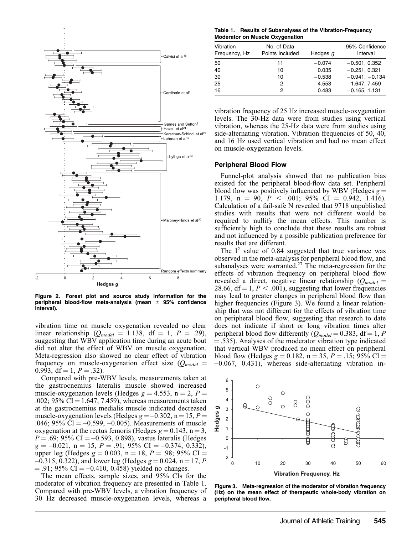

Figure 2. Forest plot and source study information for the peripheral blood-flow meta-analysis (mean  $\pm$  95% confidence interval).

vibration time on muscle oxygenation revealed no clear linear relationship ( $Q_{model} = 1.138$ , df = 1, P = .29), suggesting that WBV application time during an acute bout did not alter the effect of WBV on muscle oxygenation. Meta-regression also showed no clear effect of vibration frequency on muscle-oxygenation effect size  $(Q_{model}$ 0.993, df = 1,  $P = .32$ ).

Compared with pre-WBV levels, measurements taken at the gastrocnemius lateralis muscle showed increased muscle-oxygenation levels (Hedges  $g = 4.553$ , n = 2, P = .002; 95% CI = 1.647, 7.459), whereas measurements taken at the gastrocnemius medialis muscle indicated decreased muscle-oxygenation levels (Hedges  $g = -0.302$ , n = 15, P = .046; 95% CI  $= -0.599, -0.005$ ). Measurements of muscle oxygenation at the rectus femoris (Hedges  $g = 0.143$ , n = 3,  $P = .69$ ; 95% CI = -0.593, 0.898), vastus lateralis (Hedges  $g = -0.021$ ,  $n = 15$ ,  $P = .91$ ; 95% CI = -0.374, 0.332), upper leg (Hedges  $g = 0.003$ , n = 18, P = .98; 95% CI =  $-0.315, 0.322$ , and lower leg (Hedges  $g = 0.024$ , n = 17, P  $= .91$ ; 95% CI  $= -0.410, 0.458$ ) yielded no changes.

The mean effects, sample sizes, and 95% CIs for the moderator of vibration frequency are presented in Table 1. Compared with pre-WBV levels, a vibration frequency of 30 Hz decreased muscle-oxygenation levels, whereas a

Table 1. Results of Subanalyses of the Vibration-Frequency Moderator on Muscle Oxygenation

| Vibration<br>Frequency, Hz | No. of Data<br>Points Included | Hedges q | 95% Confidence<br>Interval |
|----------------------------|--------------------------------|----------|----------------------------|
| 50                         | 11                             | $-0.074$ | $-0.501, 0.352$            |
| 40                         | 10                             | 0.035    | $-0.251, 0.321$            |
| 30                         | 10                             | $-0.538$ | $-0.941, -0.134$           |
| 25                         | 2                              | 4.553    | 1.647, 7.459               |
| 16                         | 2                              | 0.483    | $-0.165, 1.131$            |

vibration frequency of 25 Hz increased muscle-oxygenation levels. The 30-Hz data were from studies using vertical vibration, whereas the 25-Hz data were from studies using side-alternating vibration. Vibration frequencies of 50, 40, and 16 Hz used vertical vibration and had no mean effect on muscle-oxygenation levels.

#### Peripheral Blood Flow

Funnel-plot analysis showed that no publication bias existed for the peripheral blood-flow data set. Peripheral blood flow was positively influenced by WBV (Hedges  $g =$ 1.179, n = 90,  $P < .001$ ; 95% CI = 0.942, 1.416). Calculation of a fail-safe N revealed that 9718 unpublished studies with results that were not different would be required to nullify the mean effects. This number is sufficiently high to conclude that these results are robust and not influenced by a possible publication preference for results that are different.

The  $I^2$  value of 0.84 suggested that true variance was observed in the meta-analysis for peripheral blood flow, and subanalyses were warranted.<sup>27</sup> The meta-regression for the effects of vibration frequency on peripheral blood flow revealed a direct, negative linear relationship ( $Q_{model}$  = 28.66,  $df = 1, P < .001$ ), suggesting that lower frequencies may lead to greater changes in peripheral blood flow than higher frequencies (Figure 3). We found a linear relationship that was not different for the effects of vibration time on peripheral blood flow, suggesting that research to date does not indicate if short or long vibration times alter peripheral blood flow differently ( $Q_{model} = 0.383$ , df = 1, P  $=$  .535). Analyses of the moderator vibration type indicated that vertical WBV produced no mean effect on peripheral blood flow (Hedges  $g = 0.182$ , n = 35, P = .15; 95% CI =  $-0.067$ ,  $0.431$ ), whereas side-alternating vibration in-



Figure 3. Meta-regression of the moderator of vibration frequency (Hz) on the mean effect of therapeutic whole-body vibration on peripheral blood flow.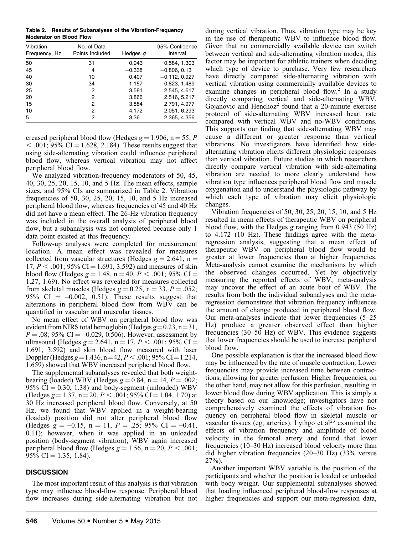Table 2. Results of Subanalyses of the Vibration-Frequency Moderator on Blood Flow

| Vibration<br>Frequency, Hz | No. of Data<br>Points Included | Hedges g | 95% Confidence<br>Interval |
|----------------------------|--------------------------------|----------|----------------------------|
| 50                         | 31                             | 0.943    | 0.584, 1.303               |
| 45                         | 4                              | $-0.338$ | $-0.806, 0.13$             |
| 40                         | 10                             | 0.407    | $-0.112, 0.927$            |
| 30                         | 34                             | 1.157    | 0.823, 1.489               |
| 25                         | 2                              | 3.581    | 2.545, 4.617               |
| 20                         | 2                              | 3.866    | 2.516, 5.217               |
| 15                         | 2                              | 3.884    | 2.791, 4.977               |
| 10                         | 2                              | 4.172    | 2.051, 6.293               |
| 5                          | 2                              | 3.36     | 2.365, 4.356               |

creased peripheral blood flow (Hedges  $g = 1.906$ , n = 55, P  $<$  .001; 95% CI = 1.628, 2.184). These results suggest that using side-alternating vibration could influence peripheral blood flow, whereas vertical vibration may not affect peripheral blood flow.

We analyzed vibration-frequency moderators of 50, 45, 40, 30, 25, 20, 15, 10, and 5 Hz. The mean effects, sample sizes, and 95% CIs are summarized in Table 2. Vibration frequencies of 50, 30, 25, 20, 15, 10, and 5 Hz increased peripheral blood flow, whereas frequencies of 45 and 40 Hz did not have a mean effect. The 26-Hz vibration frequency was included in the overall analysis of peripheral blood flow, but a subanalysis was not completed because only 1 data point existed at this frequency.

Follow-up analyses were completed for measurement location. A mean effect was revealed for measures collected from vascular structures (Hedges  $g = 2.641$ , n =  $17, P < .001$ ; 95% CI = 1.691, 3.592) and measures of skin blood flow (Hedges  $g = 1.48$ ,  $n = 40$ ,  $P < .001$ ; 95% CI = 1.27, 1.69). No effect was revealed for measures collected from skeletal muscles (Hedges  $g = 0.25$ , n = 33, P = .052; 95% CI  $= -0.002, 0.51$ . These results suggest that alterations in peripheral blood flow from WBV can be quantified in vascular and muscular tissues.

No mean effect of WBV on peripheral blood flow was evident from NIRS total hemoglobin (Hedges  $g=0.23$ , n = 31,  $P = .08$ ; 95% CI = -0.029, 0.506). However, assessment by ultrasound (Hedges  $g = 2.641$ ,  $n = 17$ ,  $P < .001$ ; 95% CI = 1.691, 3.592) and skin blood flow measured with laser Doppler (Hedges g = 1.436, n = 42,  $P < .001$ ; 95% CI = 1.214, 1.659) showed that WBV increased peripheral blood flow.

The supplemental subanalyses revealed that both weightbearing (loaded) WBV (Hedges  $g = 0.84$ , n = 14, P = .002; 95%  $CI = 0.30, 1.38$  and body-segment (unloaded) WBV (Hedges  $g = 1.37$ ,  $n = 20$ ,  $P < .001$ ; 95% CI = 1.04, 1.70) at 30 Hz increased peripheral blood flow. Conversely, at 50 Hz, we found that WBV applied in a weight-bearing (loaded) position did not alter peripheral blood flow (Hedges  $g = -0.15$ ,  $n = 11$ ,  $P = .25$ ; 95% CI = -0.41, 0.11); however, when it was applied in an unloaded position (body-segment vibration), WBV again increased peripheral blood flow (Hedges  $g = 1.56$ ,  $n = 20$ ,  $P < .001$ ; 95% CI  $=$  1.35, 1.84).

#### **DISCUSSION**

The most important result of this analysis is that vibration type may influence blood-flow response. Peripheral blood flow increases during side-alternating vibration but not during vertical vibration. Thus, vibration type may be key in the use of therapeutic WBV to influence blood flow. Given that no commercially available device can switch between vertical and side-alternating vibration modes, this factor may be important for athletic trainers when deciding which type of device to purchase. Very few researchers have directly compared side-alternating vibration with vertical vibration using commercially available devices to examine changes in peripheral blood flow.<sup>2</sup> In a study directly comparing vertical and side-alternating WBV, Gojanovic and Henchoz<sup>2</sup> found that a 20-minute exercise protocol of side-alternating WBV increased heart rate compared with vertical WBV and no-WBV conditions. This supports our finding that side-alternating WBV may cause a different or greater response than vertical vibrations. No investigators have identified how sidealternating vibration elicits different physiologic responses than vertical vibration. Future studies in which researchers directly compare vertical vibration with side-alternating vibration are needed to more clearly understand how vibration type influences peripheral blood flow and muscle oxygenation and to understand the physiologic pathway by which each type of vibration may elicit physiologic changes.

Vibration frequencies of 50, 30, 25, 20, 15, 10, and 5 Hz resulted in mean effects of therapeutic WBV on peripheral blood flow, with the Hedges g ranging from 0.943 (50 Hz) to 4.172 (10 Hz). These findings agree with the metaregression analysis, suggesting that a mean effect of therapeutic WBV on peripheral blood flow would be greater at lower frequencies than at higher frequencies. Meta-analysis cannot examine the mechanisms by which the observed changes occurred. Yet by objectively measuring the reported effects of WBV, meta-analysis may uncover the effect of an acute bout of WBV. The results from both the individual subanalyses and the metaregression demonstrate that vibration frequency influences the amount of change produced in peripheral blood flow. Our meta-analyses indicate that lower frequencies (5–25 Hz) produce a greater observed effect than higher frequencies (30–50 Hz) of WBV. This evidence suggests that lower frequencies should be used to increase peripheral blood flow.

One possible explanation is that the increased blood flow may be influenced by the rate of muscle contraction. Lower frequencies may provide increased time between contractions, allowing for greater perfusion. Higher frequencies, on the other hand, may not allow for this perfusion, resulting in lower blood flow during WBV application. This is simply a theory based on our knowledge; investigators have not comprehensively examined the effects of vibration frequency on peripheral blood flow in skeletal muscle or vascular tissues (eg, arteries). Lythgo et  $al<sup>23</sup>$  examined the effects of vibration frequency and amplitude of blood velocity in the femoral artery and found that lower frequencies (10–30 Hz) increased blood velocity more than did higher vibration frequencies (20–30 Hz) (33% versus 27%).

Another important WBV variable is the position of the participants and whether the position is loaded or unloaded with body weight. Our supplemental subanalyses showed that loading influenced peripheral blood-flow responses at higher frequencies and support our meta-regression data,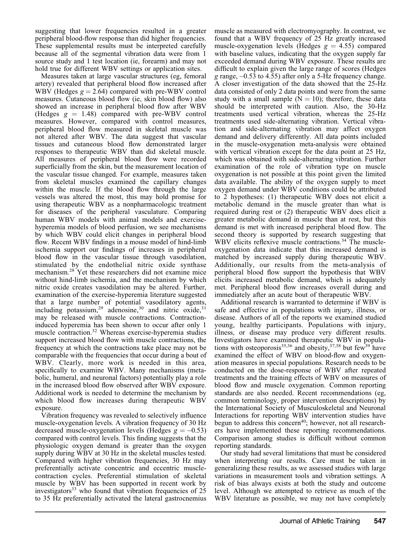suggesting that lower frequencies resulted in a greater peripheral blood-flow response than did higher frequencies. These supplemental results must be interpreted carefully because all of the segmental vibration data were from 1 source study and 1 test location (ie, forearm) and may not hold true for different WBV settings or application sites.

Measures taken at large vascular structures (eg, femoral artery) revealed that peripheral blood flow increased after WBV (Hedges  $g = 2.64$ ) compared with pre-WBV control measures. Cutaneous blood flow (ie, skin blood flow) also showed an increase in peripheral blood flow after WBV (Hedges  $g = 1.48$ ) compared with pre-WBV control measures. However, compared with control measures, peripheral blood flow measured in skeletal muscle was not altered after WBV. The data suggest that vascular tissues and cutaneous blood flow demonstrated larger responses to therapeutic WBV than did skeletal muscle. All measures of peripheral blood flow were recorded superficially from the skin, but the measurement location of the vascular tissue changed. For example, measures taken from skeletal muscles examined the capillary changes within the muscle. If the blood flow through the large vessels was altered the most, this may hold promise for using therapeutic WBV as a nonpharmacologic treatment for diseases of the peripheral vasculature. Comparing human WBV models with animal models and exercisehyperemia models of blood perfusion, we see mechanisms by which WBV could elicit changes in peripheral blood flow. Recent WBV findings in a mouse model of hind-limb ischemia support our findings of increases in peripheral blood flow in the vascular tissue through vasodilation, stimulated by the endothelial nitric oxide synthase mechanism.28 Yet these researchers did not examine mice without hind-limb ischemia, and the mechanism by which nitric oxide creates vasodilation may be altered. Further, examination of the exercise-hyperemia literature suggested that a large number of potential vasodilatory agents, including potassium,<sup>29</sup> adenosine,<sup>30</sup> and nitric oxide,<sup>31</sup> may be released with muscle contractions. Contractioninduced hyperemia has been shown to occur after only 1 muscle contraction.<sup>32</sup> Whereas exercise-hyperemia studies support increased blood flow with muscle contractions, the frequency at which the contractions take place may not be comparable with the frequencies that occur during a bout of WBV. Clearly, more work is needed in this area, specifically to examine WBV. Many mechanisms (metabolic, humeral, and neuronal factors) potentially play a role in the increased blood flow observed after WBV exposure. Additional work is needed to determine the mechanism by which blood flow increases during therapeutic WBV exposure.

Vibration frequency was revealed to selectively influence muscle-oxygenation levels. A vibration frequency of 30 Hz decreased muscle-oxygenation levels (Hedges  $g = -0.53$ ) compared with control levels. This finding suggests that the physiologic oxygen demand is greater than the oxygen supply during WBV at 30 Hz in the skeletal muscles tested. Compared with higher vibration frequencies, 30 Hz may preferentially activate concentric and eccentric musclecontraction cycles. Preferential stimulation of skeletal muscle by WBV has been supported in recent work by investigators $33$  who found that vibration frequencies of 25 to 35 Hz preferentially activated the lateral gastrocnemius

muscle as measured with electromyography. In contrast, we found that a WBV frequency of 25 Hz greatly increased muscle-oxygenation levels (Hedges  $g = 4.55$ ) compared with baseline values, indicating that the oxygen supply far exceeded demand during WBV exposure. These results are difficult to explain given the large range of scores (Hedges g range,  $-0.53$  to 4.55) after only a 5-Hz frequency change. A closer investigation of the data showed that the 25-Hz data consisted of only 2 data points and were from the same study with a small sample  $(N = 10)$ ; therefore, these data should be interpreted with caution. Also, the 30-Hz treatments used vertical vibration, whereas the 25-Hz treatments used side-alternating vibration. Vertical vibration and side-alternating vibration may affect oxygen demand and delivery differently. All data points included in the muscle-oxygenation meta-analysis were obtained with vertical vibration except for the data point at 25 Hz, which was obtained with side-alternating vibration. Further examination of the role of vibration type on muscle oxygenation is not possible at this point given the limited data available. The ability of the oxygen supply to meet oxygen demand under WBV conditions could be attributed to 2 hypotheses: (1) therapeutic WBV does not elicit a metabolic demand in the muscle greater than what is required during rest or (2) therapeutic WBV does elicit a greater metabolic demand in muscle than at rest, but this demand is met with increased peripheral blood flow. The second theory is supported by research suggesting that WBV elicits reflexive muscle contractions.<sup>34</sup> The muscleoxygenation data indicate that this increased demand is matched by increased supply during therapeutic WBV. Additionally, our results from the meta-analysis of peripheral blood flow support the hypothesis that WBV elicits increased metabolic demand, which is adequately met. Peripheral blood flow increases overall during and immediately after an acute bout of therapeutic WBV.

Additional research is warranted to determine if WBV is safe and effective in populations with injury, illness, or disease. Authors of all of the reports we examined studied young, healthy participants. Populations with injury, illness, or disease may produce very different results. Investigators have examined therapeutic WBV in populations with osteoporosis<sup>35,36</sup> and obesity,  $37,38$  but few<sup>39</sup> have examined the effect of WBV on blood-flow and oxygenation measures in special populations. Research needs to be conducted on the dose-response of WBV after repeated treatments and the training effects of WBV on measures of blood flow and muscle oxygenation. Common reporting standards are also needed. Recent recommendations (eg, common terminology, proper intervention descriptions) by the International Society of Musculoskeletal and Neuronal Interactions for reporting WBV intervention studies have begun to address this concern<sup>40</sup>; however, not all researchers have implemented these reporting recommendations. Comparison among studies is difficult without common reporting standards.

Our study had several limitations that must be considered when interpreting our results. Care must be taken in generalizing these results, as we assessed studies with large variations in measurement tools and vibration settings. A risk of bias always exists at both the study and outcome level. Although we attempted to retrieve as much of the WBV literature as possible, we may not have completely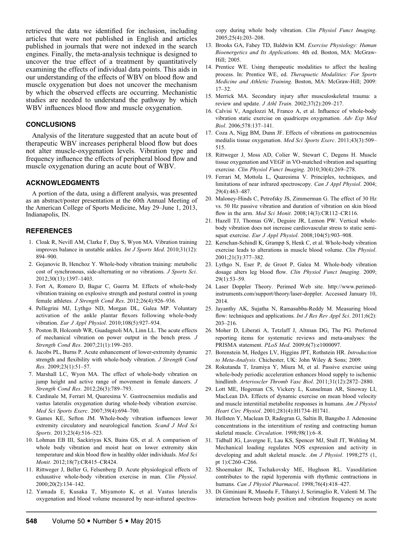retrieved the data we identified for inclusion, including articles that were not published in English and articles published in journals that were not indexed in the search engines. Finally, the meta-analysis technique is designed to uncover the true effect of a treatment by quantitatively examining the effects of individual data points. This aids in our understanding of the effects of WBV on blood flow and muscle oxygenation but does not uncover the mechanism by which the observed effects are occurring. Mechanistic studies are needed to understand the pathway by which WBV influences blood flow and muscle oxygenation.

#### **CONCLUSIONS**

Analysis of the literature suggested that an acute bout of therapeutic WBV increases peripheral blood flow but does not alter muscle-oxygenation levels. Vibration type and frequency influence the effects of peripheral blood flow and muscle oxygenation during an acute bout of WBV.

#### ACKNOWLEDGMENTS

A portion of the data, using a different analysis, was presented as an abstract/poster presentation at the 60th Annual Meeting of the American College of Sports Medicine, May 29–June 1, 2013, Indianapolis, IN.

#### REFERENCES

- 1. Cloak R, Nevill AM, Clarke F, Day S, Wyon MA. Vibration training improves balance in unstable ankles. Int J Sports Med. 2010;31(12): 894–900.
- 2. Gojanovic B, Henchoz Y. Whole-body vibration training: metabolic cost of synchronous, side-alternating or no vibrations. J Sports Sci. 2012;30(13):1397–1403.
- 3. Fort A, Romero D, Bagur C, Guerra M. Effects of whole-body vibration training on explosive strength and postural control in young female athletes. J Strength Cond Res. 2012;26(4):926–936.
- 4. Pellegrini MJ, Lythgo ND, Morgan DL, Galea MP. Voluntary activation of the ankle plantar flexors following whole-body vibration. Eur J Appl Physiol. 2010;108(5):927–934.
- 5. Poston B, Holcomb WR, Guadagnoli MA, Linn LL. The acute effects of mechanical vibration on power output in the bench press. J Strength Cond Res. 2007;21(1):199–203.
- 6. Jacobs PL, Burns P. Acute enhancement of lower-extremity dynamic strength and flexibility with whole-body vibration. J Strength Cond Res. 2009;23(1):51–57.
- 7. Marshall LC, Wyon MA. The effect of whole-body vibration on jump height and active range of movement in female dancers. J Strength Cond Res. 2012;26(3):789–793.
- 8. Cardinale M, Ferrari M, Quaresima V. Gastrocnemius medialis and vastus lateralis oxygenation during whole-body vibration exercise. Med Sci Sports Exerc. 2007;39(4):694–700.
- 9. Games KE, Sefton JM. Whole-body vibration influences lower extremity circulatory and neurological function. Scand J Med Sci Sports. 2013:23(4):516–523.
- 10. Lohman EB III, Sackiriyas KS, Bains GS, et al. A comparison of whole body vibration and moist heat on lower extremity skin temperature and skin blood flow in healthy older individuals. Med Sci Monit. 2012;18(7):CR415–CR424.
- 11. Rittweger J, Beller G, Felsenberg D. Acute physiological effects of exhaustive whole-body vibration exercise in man. Clin Physiol. 2000;20(2):134–142.
- 12. Yamada E, Kusaka T, Miyamoto K, et al. Vastus lateralis oxygenation and blood volume measured by near-infrared spectros-

copy during whole body vibration. Clin Physiol Funct Imaging. 2005;25(4):203–208.

- 13. Brooks GA, Fahey TD, Baldwin KM. Exercise Physiology: Human Bioenergetics and Its Applications. 4th ed. Boston, MA: McGraw-Hill; 2005.
- 14. Prentice WE. Using therapeutic modalities to affect the healing process. In: Prentice WE, ed. Therapuetic Modalities: For Sports Medicine and Athletic Training. Boston, MA: McGraw-Hill; 2009: 17–32.
- 15. Merrick MA. Secondary injury after musculoskeletal trauma: a review and update.  $J$  Athl Train. 2002;37(2):209-217.
- 16. Calvisi V, Angelozzi M, Franco A, et al. Influence of whole-body vibration static exercise on quadriceps oxygenation. Adv Exp Med Biol. 2006;578:137–141.
- 17. Coza A, Nigg BM, Dunn JF. Effects of vibrations on gastrocnemius medialis tissue oxygenation. Med Sci Sports Exerc. 2011;43(3):509-515.
- 18. Rittweger J, Moss AD, Colier W, Stewart C, Degens H. Muscle tissue oxygenation and VEGF in VO-matched vibration and squatting exercise. Clin Physiol Funct Imaging. 2010;30(4):269–278.
- 19. Ferrari M, Mottola L, Quaresima V. Principles, techniques, and limitations of near infrared spectroscopy. Can J Appl Physiol. 2004; 29(4):463–487.
- 20. Maloney-Hinds C, Petrofsky JS, Zimmerman G. The effect of 30 Hz vs. 50 Hz passive vibration and duration of vibration on skin blood flow in the arm. Med Sci Monit. 2008;14(3):CR112-CR116.
- 21. Hazell TJ, Thomas GW, Deguire JR, Lemon PW. Vertical wholebody vibration does not increase cardiovascular stress to static semisquat exercise. Eur J Appl Physiol. 2008;104(5):903-908.
- 22. Kerschan-Schindl K, Grampp S, Henk C, et al. Whole-body vibration exercise leads to alterations in muscle blood volume. Clin Physiol. 2001;21(3):377–382.
- 23. Lythgo N, Eser P, de Groot P, Galea M. Whole-body vibration dosage alters leg blood flow. Clin Physiol Funct Imaging. 2009; 29(1):53–59.
- 24. Laser Doppler Theory. Perimed Web site. http://www.perimedinstruments.com/support/theory/laser-doppler. Accessed January 10, 2014.
- 25. Jayanthy AK, Sujatha N, Ramasubba-Reddy M. Measuring blood flow: techniques and applications. *Int J Res Rev Appl Sci.* 2011;6(2): 203–216.
- 26. Moher D, Liberati A, Tetzlaff J, Altman DG, The PG. Preferred reporting items for systematic reviews and meta-analyses: the PRISMA statement. PLoS Med. 2009;6(7):e1000097.
- 27. Borenstein M, Hedges LV, Higgins JPT, Rothstein HR. Introduction to Meta-Analysis. Chichester, UK: John Wiley & Sons; 2009.
- 28. Rokutanda T, Izumiya Y, Miura M, et al. Passive exercise using whole-body periodic acceleration enhances blood supply to ischemic hindlimb. Arterioscler Thromb Vasc Biol. 2011;31(12):2872-2880.
- 29. Lott ME, Hogeman CS, Vickery L, Kunselman AR, Sinoway LI, MacLean DA. Effects of dynamic exercise on mean blood velocity and muscle interstitial metabolite responses in humans. Am J Physiol Heart Circ Physiol. 2001;281(4):H1734–H1741.
- 30. Hellsten Y, Maclean D, Radegran G, Saltin B, Bangsbo J. Adenosine concentrations in the interstitium of resting and contracting human skeletal muscle. Circulation. 1998;98(1):6-8.
- 31. Tidball JG, Lavergne E, Lau KS, Spencer MJ, Stull JT, Wehling M. Mechanical loading regulates NOS expression and activity in developing and adult skeletal muscle. Am J Physiol. 1998;275 (1, pt 1):C260–C266.
- 32. Shoemaker JK, Tschakovsky ME, Hughson RL. Vasodilation contributes to the rapid hyperemia with rhythmic contractions in humans. Can J Physiol Pharmacol. 1998;76(4):418–427.
- 33. Di Giminiani R, Masedu F, Tihanyi J, Scrimaglio R, Valenti M. The interaction between body position and vibration frequency on acute